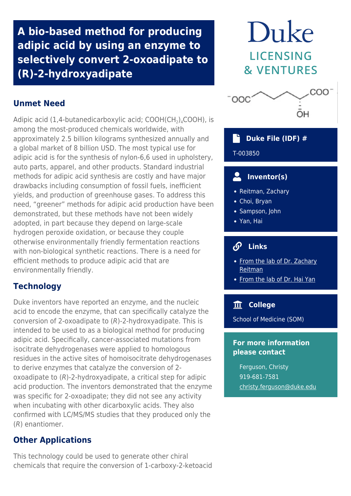**A bio-based method for producing adipic acid by using an enzyme to selectively convert 2-oxoadipate to (R)-2-hydroxyadipate**

# **Unmet Need**

Adipic acid (1,4-butanedicarboxylic acid;  $\mathsf{COOH}(\mathsf{CH}_2)_4\mathsf{COOH}$ ), is among the most-produced chemicals worldwide, with approximately 2.5 billion kilograms synthesized annually and a global market of 8 billion USD. The most typical use for adipic acid is for the synthesis of nylon-6,6 used in upholstery, auto parts, apparel, and other products. Standard industrial methods for adipic acid synthesis are costly and have major drawbacks including consumption of fossil fuels, inefficient yields, and production of greenhouse gases. To address this need, "greener" methods for adipic acid production have been demonstrated, but these methods have not been widely adopted, in part because they depend on large-scale hydrogen peroxide oxidation, or because they couple otherwise environmentally friendly fermentation reactions with non-biological synthetic reactions. There is a need for efficient methods to produce adipic acid that are environmentally friendly.

# **Technology**

Duke inventors have reported an enzyme, and the nucleic acid to encode the enzyme, that can specifically catalyze the conversion of 2-oxoadipate to (R)-2-hydroxyadipate. This is intended to be used to as a biological method for producing adipic acid. Specifically, cancer-associated mutations from isocitrate dehydrogenases were applied to homologous residues in the active sites of homoisocitrate dehydrogenases to derive enzymes that catalyze the conversion of 2 oxoadipate to  $(R)$ -2-hydroxyadipate, a critical step for adipic acid production. The inventors demonstrated that the enzyme was specific for 2-oxoadipate; they did not see any activity when incubating with other dicarboxylic acids. They also confirmed with LC/MS/MS studies that they produced only the (R) enantiomer.

# **Other Applications**

This technology could be used to generate other chiral chemicals that require the conversion of 1-carboxy-2-ketoacid

# Duke **LICENSING & VENTURES**



# **Duke File (IDF) #**

### T-003850

# **Inventor(s)**

- Reitman, Zachary
- Choi, Bryan
- Sampson, John
- Yan, Hai

#### டு  **Links**

- [From the lab of Dr. Zachary](https://radonc.duke.edu/research/reitman-lab) [Reitman](https://radonc.duke.edu/research/reitman-lab)
- [From the lab of Dr. Hai Yan](https://sites.duke.edu/haiyanlab/)

# **College**

School of Medicine (SOM)

### **For more information please contact**

Ferguson, Christy 919-681-7581 [christy.ferguson@duke.edu](mailto:christy.ferguson@duke.edu)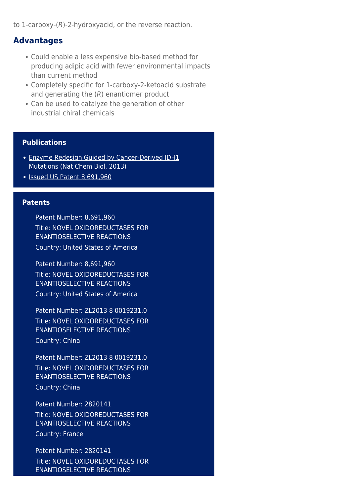to 1-carboxy-(R)-2-hydroxyacid, or the reverse reaction.

### **Advantages**

- Could enable a less expensive bio-based method for producing adipic acid with fewer environmental impacts than current method
- Completely specific for 1-carboxy-2-ketoacid substrate and generating the (R) enantiomer product
- Can be used to catalyze the generation of other industrial chiral chemicals

### **Publications**

- [Enzyme Redesign Guided by Cancer-Derived IDH1](https://www.ncbi.nlm.nih.gov/pmc/articles/PMC3487689/) [Mutations \(Nat Chem Biol, 2013\)](https://www.ncbi.nlm.nih.gov/pmc/articles/PMC3487689/)
- [Issued US Patent 8,691,960](https://patents.google.com/patent/US8691960B2/en?oq=8%2c691%2c960)

### **Patents**

Patent Number: 8,691,960 Title: NOVEL OXIDOREDUCTASES FOR ENANTIOSELECTIVE REACTIONS Country: United States of America

Patent Number: 8,691,960 Title: NOVEL OXIDOREDUCTASES FOR ENANTIOSELECTIVE REACTIONS Country: United States of America

Patent Number: ZL2013 8 0019231.0 Title: NOVEL OXIDOREDUCTASES FOR ENANTIOSELECTIVE REACTIONS Country: China

Patent Number: ZL2013 8 0019231.0 Title: NOVEL OXIDOREDUCTASES FOR ENANTIOSELECTIVE REACTIONS Country: China

Patent Number: 2820141 Title: NOVEL OXIDOREDUCTASES FOR ENANTIOSELECTIVE REACTIONS Country: France

Patent Number: 2820141 Title: NOVEL OXIDOREDUCTASES FOR ENANTIOSELECTIVE REACTIONS